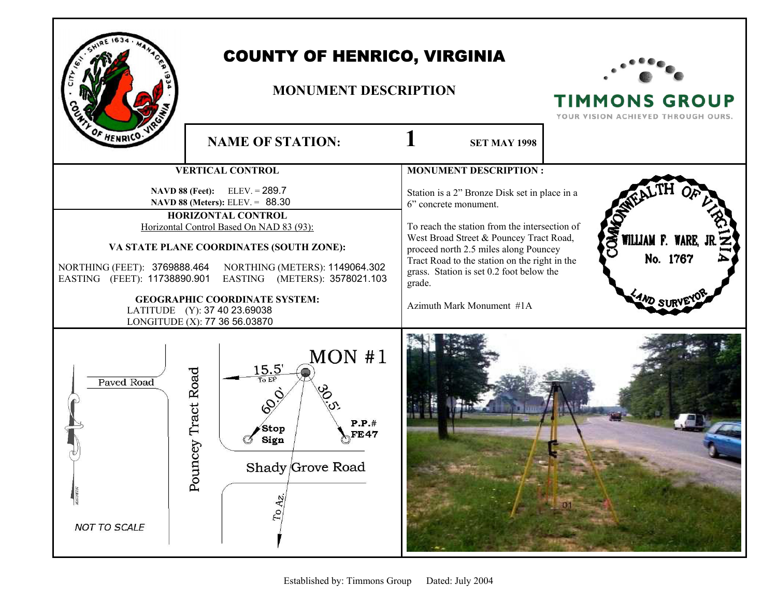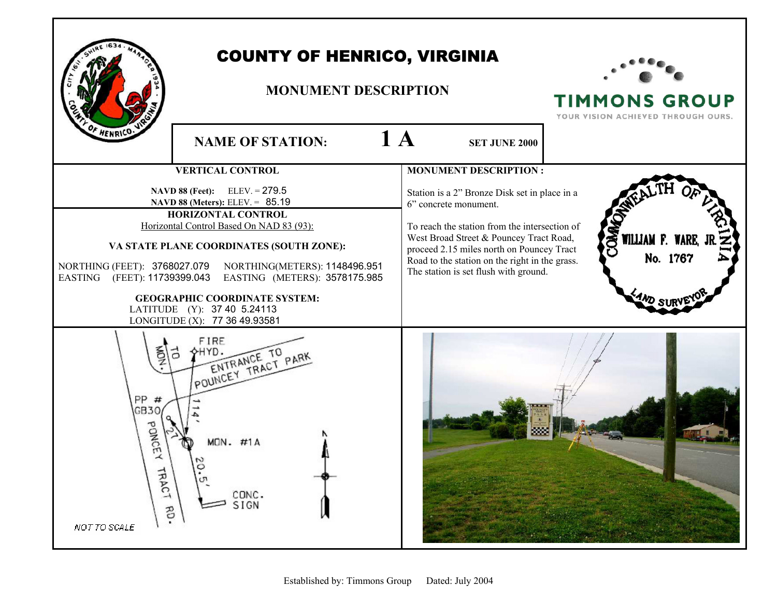

## COUNTY OF HENRICO, VIRGINIA

## **MONUMENT DESCRIPTION**



**TIMMONS GROUP** YOUR VISION ACHIEVED THROUGH OURS.